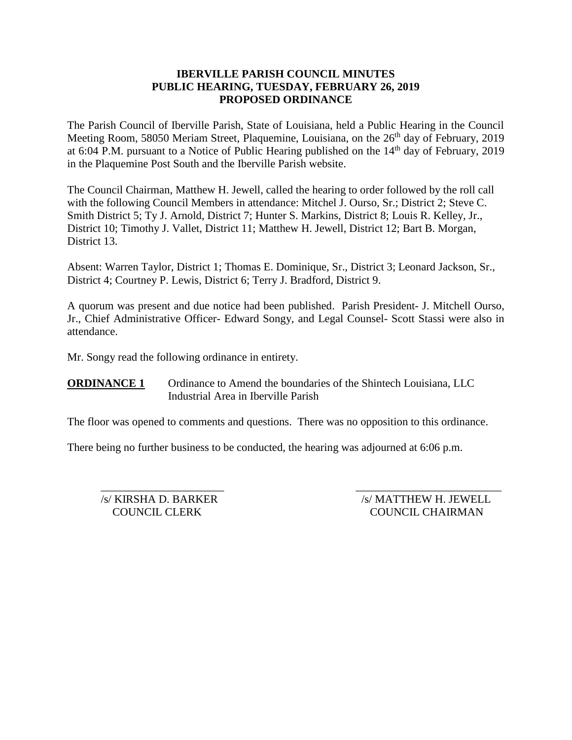## **IBERVILLE PARISH COUNCIL MINUTES PUBLIC HEARING, TUESDAY, FEBRUARY 26, 2019 PROPOSED ORDINANCE**

The Parish Council of Iberville Parish, State of Louisiana, held a Public Hearing in the Council Meeting Room, 58050 Meriam Street, Plaquemine, Louisiana, on the 26<sup>th</sup> day of February, 2019 at 6:04 P.M. pursuant to a Notice of Public Hearing published on the 14<sup>th</sup> day of February, 2019 in the Plaquemine Post South and the Iberville Parish website.

The Council Chairman, Matthew H. Jewell, called the hearing to order followed by the roll call with the following Council Members in attendance: Mitchel J. Ourso, Sr.; District 2; Steve C. Smith District 5; Ty J. Arnold, District 7; Hunter S. Markins, District 8; Louis R. Kelley, Jr., District 10; Timothy J. Vallet, District 11; Matthew H. Jewell, District 12; Bart B. Morgan, District 13.

Absent: Warren Taylor, District 1; Thomas E. Dominique, Sr., District 3; Leonard Jackson, Sr., District 4; Courtney P. Lewis, District 6; Terry J. Bradford, District 9.

A quorum was present and due notice had been published. Parish President- J. Mitchell Ourso, Jr., Chief Administrative Officer- Edward Songy, and Legal Counsel- Scott Stassi were also in attendance.

Mr. Songy read the following ordinance in entirety.

**ORDINANCE 1** Ordinance to Amend the boundaries of the Shintech Louisiana, LLC Industrial Area in Iberville Parish

The floor was opened to comments and questions. There was no opposition to this ordinance.

 $\frac{1}{2}$  ,  $\frac{1}{2}$  ,  $\frac{1}{2}$  ,  $\frac{1}{2}$  ,  $\frac{1}{2}$  ,  $\frac{1}{2}$  ,  $\frac{1}{2}$  ,  $\frac{1}{2}$  ,  $\frac{1}{2}$  ,  $\frac{1}{2}$  ,  $\frac{1}{2}$  ,  $\frac{1}{2}$  ,  $\frac{1}{2}$  ,  $\frac{1}{2}$  ,  $\frac{1}{2}$  ,  $\frac{1}{2}$  ,  $\frac{1}{2}$  ,  $\frac{1}{2}$  ,  $\frac{1$ 

There being no further business to be conducted, the hearing was adjourned at 6:06 p.m.

/s/ KIRSHA D. BARKER /s/ MATTHEW H. JEWELL COUNCIL CLERK COUNCIL CHAIRMAN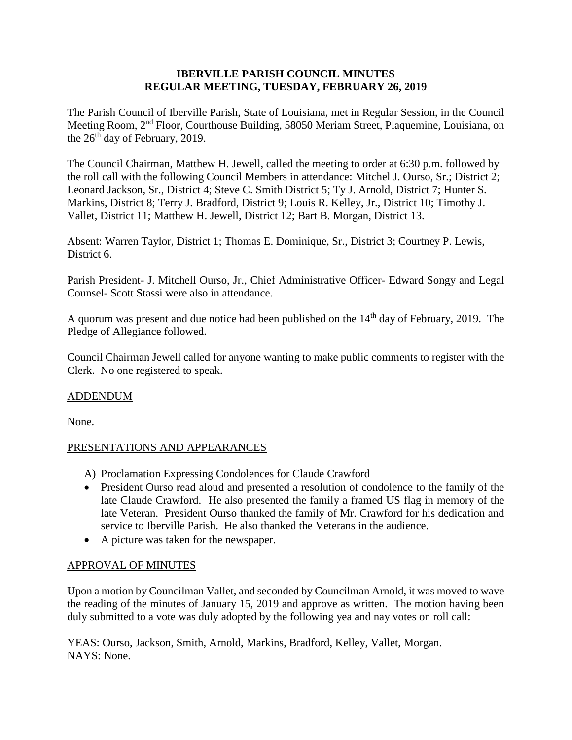### **IBERVILLE PARISH COUNCIL MINUTES REGULAR MEETING, TUESDAY, FEBRUARY 26, 2019**

The Parish Council of Iberville Parish, State of Louisiana, met in Regular Session, in the Council Meeting Room, 2nd Floor, Courthouse Building, 58050 Meriam Street, Plaquemine, Louisiana, on the  $26<sup>th</sup>$  day of February, 2019.

The Council Chairman, Matthew H. Jewell, called the meeting to order at 6:30 p.m. followed by the roll call with the following Council Members in attendance: Mitchel J. Ourso, Sr.; District 2; Leonard Jackson, Sr., District 4; Steve C. Smith District 5; Ty J. Arnold, District 7; Hunter S. Markins, District 8; Terry J. Bradford, District 9; Louis R. Kelley, Jr., District 10; Timothy J. Vallet, District 11; Matthew H. Jewell, District 12; Bart B. Morgan, District 13.

Absent: Warren Taylor, District 1; Thomas E. Dominique, Sr., District 3; Courtney P. Lewis, District 6.

Parish President- J. Mitchell Ourso, Jr., Chief Administrative Officer- Edward Songy and Legal Counsel- Scott Stassi were also in attendance.

A quorum was present and due notice had been published on the 14<sup>th</sup> day of February, 2019. The Pledge of Allegiance followed.

Council Chairman Jewell called for anyone wanting to make public comments to register with the Clerk. No one registered to speak.

## ADDENDUM

None.

## PRESENTATIONS AND APPEARANCES

- A) Proclamation Expressing Condolences for Claude Crawford
- President Ourso read aloud and presented a resolution of condolence to the family of the late Claude Crawford. He also presented the family a framed US flag in memory of the late Veteran. President Ourso thanked the family of Mr. Crawford for his dedication and service to Iberville Parish. He also thanked the Veterans in the audience.
- A picture was taken for the newspaper.

## APPROVAL OF MINUTES

Upon a motion by Councilman Vallet, and seconded by Councilman Arnold, it was moved to wave the reading of the minutes of January 15, 2019 and approve as written. The motion having been duly submitted to a vote was duly adopted by the following yea and nay votes on roll call:

YEAS: Ourso, Jackson, Smith, Arnold, Markins, Bradford, Kelley, Vallet, Morgan. NAYS: None.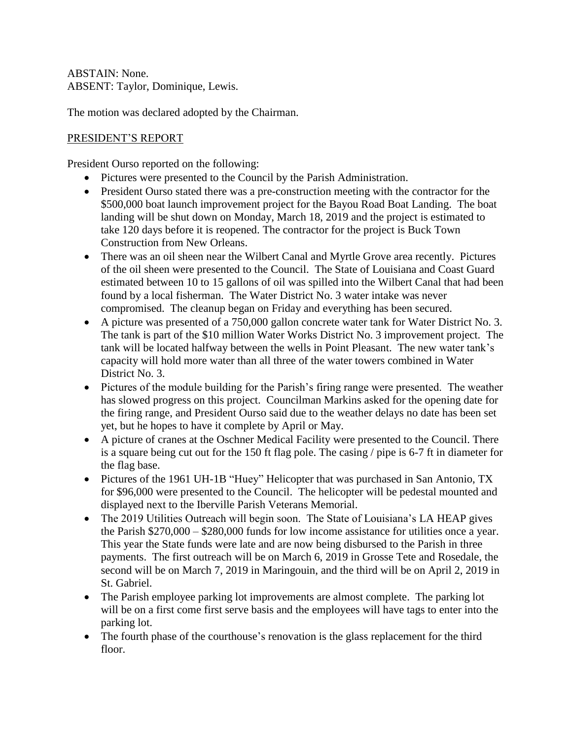ABSTAIN: None. ABSENT: Taylor, Dominique, Lewis.

The motion was declared adopted by the Chairman.

# PRESIDENT'S REPORT

President Ourso reported on the following:

- Pictures were presented to the Council by the Parish Administration.
- President Ourso stated there was a pre-construction meeting with the contractor for the \$500,000 boat launch improvement project for the Bayou Road Boat Landing. The boat landing will be shut down on Monday, March 18, 2019 and the project is estimated to take 120 days before it is reopened. The contractor for the project is Buck Town Construction from New Orleans.
- There was an oil sheen near the Wilbert Canal and Myrtle Grove area recently. Pictures of the oil sheen were presented to the Council. The State of Louisiana and Coast Guard estimated between 10 to 15 gallons of oil was spilled into the Wilbert Canal that had been found by a local fisherman. The Water District No. 3 water intake was never compromised. The cleanup began on Friday and everything has been secured.
- A picture was presented of a 750,000 gallon concrete water tank for Water District No. 3. The tank is part of the \$10 million Water Works District No. 3 improvement project. The tank will be located halfway between the wells in Point Pleasant. The new water tank's capacity will hold more water than all three of the water towers combined in Water District No. 3.
- Pictures of the module building for the Parish's firing range were presented. The weather has slowed progress on this project. Councilman Markins asked for the opening date for the firing range, and President Ourso said due to the weather delays no date has been set yet, but he hopes to have it complete by April or May.
- A picture of cranes at the Oschner Medical Facility were presented to the Council. There is a square being cut out for the 150 ft flag pole. The casing / pipe is 6-7 ft in diameter for the flag base.
- Pictures of the 1961 UH-1B "Huey" Helicopter that was purchased in San Antonio, TX for \$96,000 were presented to the Council. The helicopter will be pedestal mounted and displayed next to the Iberville Parish Veterans Memorial.
- The 2019 Utilities Outreach will begin soon. The State of Louisiana's LA HEAP gives the Parish \$270,000 – \$280,000 funds for low income assistance for utilities once a year. This year the State funds were late and are now being disbursed to the Parish in three payments. The first outreach will be on March 6, 2019 in Grosse Tete and Rosedale, the second will be on March 7, 2019 in Maringouin, and the third will be on April 2, 2019 in St. Gabriel.
- The Parish employee parking lot improvements are almost complete. The parking lot will be on a first come first serve basis and the employees will have tags to enter into the parking lot.
- The fourth phase of the courthouse's renovation is the glass replacement for the third floor.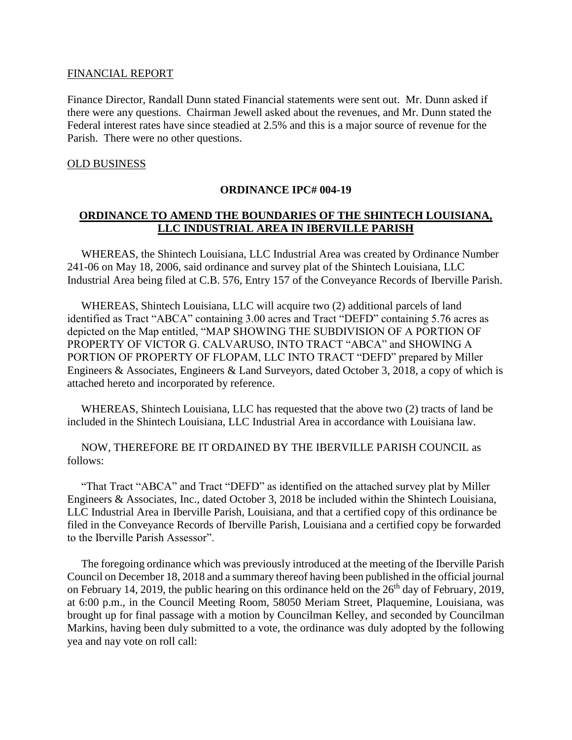#### FINANCIAL REPORT

Finance Director, Randall Dunn stated Financial statements were sent out. Mr. Dunn asked if there were any questions. Chairman Jewell asked about the revenues, and Mr. Dunn stated the Federal interest rates have since steadied at 2.5% and this is a major source of revenue for the Parish. There were no other questions.

#### OLD BUSINESS

#### **ORDINANCE IPC# 004-19**

### **ORDINANCE TO AMEND THE BOUNDARIES OF THE SHINTECH LOUISIANA, LLC INDUSTRIAL AREA IN IBERVILLE PARISH**

 WHEREAS, the Shintech Louisiana, LLC Industrial Area was created by Ordinance Number 241-06 on May 18, 2006, said ordinance and survey plat of the Shintech Louisiana, LLC Industrial Area being filed at C.B. 576, Entry 157 of the Conveyance Records of Iberville Parish.

 WHEREAS, Shintech Louisiana, LLC will acquire two (2) additional parcels of land identified as Tract "ABCA" containing 3.00 acres and Tract "DEFD" containing 5.76 acres as depicted on the Map entitled, "MAP SHOWING THE SUBDIVISION OF A PORTION OF PROPERTY OF VICTOR G. CALVARUSO, INTO TRACT "ABCA" and SHOWING A PORTION OF PROPERTY OF FLOPAM, LLC INTO TRACT "DEFD" prepared by Miller Engineers & Associates, Engineers & Land Surveyors, dated October 3, 2018, a copy of which is attached hereto and incorporated by reference.

 WHEREAS, Shintech Louisiana, LLC has requested that the above two (2) tracts of land be included in the Shintech Louisiana, LLC Industrial Area in accordance with Louisiana law.

 NOW, THEREFORE BE IT ORDAINED BY THE IBERVILLE PARISH COUNCIL as follows:

 "That Tract "ABCA" and Tract "DEFD" as identified on the attached survey plat by Miller Engineers & Associates, Inc., dated October 3, 2018 be included within the Shintech Louisiana, LLC Industrial Area in Iberville Parish, Louisiana, and that a certified copy of this ordinance be filed in the Conveyance Records of Iberville Parish, Louisiana and a certified copy be forwarded to the Iberville Parish Assessor".

 The foregoing ordinance which was previously introduced at the meeting of the Iberville Parish Council on December 18, 2018 and a summary thereof having been published in the official journal on February 14, 2019, the public hearing on this ordinance held on the  $26<sup>th</sup>$  day of February, 2019, at 6:00 p.m., in the Council Meeting Room, 58050 Meriam Street, Plaquemine, Louisiana, was brought up for final passage with a motion by Councilman Kelley, and seconded by Councilman Markins, having been duly submitted to a vote, the ordinance was duly adopted by the following yea and nay vote on roll call: